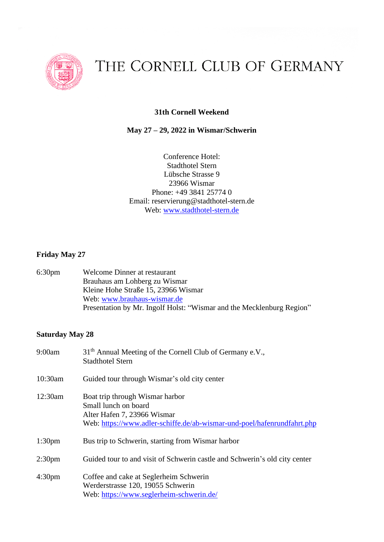

# THE CORNELL CLUB OF GERMANY

# **31th Cornell Weekend**

# **May 27 – 29, 2022 in Wismar/Schwerin**

Conference Hotel: Stadthotel Stern Lübsche Strasse 9 23966 Wismar Phone: [+49](tel:49%20911%20242500) 3841 25774 0 Email: [reservierung@stadthotel-stern.de](mailto:reservierung@stadthotel-stern.de) Web: [www.stadthotel-stern.de](http://www.stadthotel-stern.de/)

#### **Friday May 27**

6:30pm Welcome Dinner at restaurant Brauhaus am Lohberg zu Wismar Kleine Hohe Straße 15, 23966 Wismar Web: [www.brauhaus-wismar.de](http://www.brauhaus-wismar.de/) Presentation by Mr. Ingolf Holst: "Wismar and the Mecklenburg Region"

### **Saturday May 28**

| 9:00am             | 31 <sup>th</sup> Annual Meeting of the Cornell Club of Germany e.V.,<br><b>Stadthotel Stern</b>                                                                   |
|--------------------|-------------------------------------------------------------------------------------------------------------------------------------------------------------------|
| 10:30am            | Guided tour through Wismar's old city center                                                                                                                      |
| 12:30am            | Boat trip through Wismar harbor<br>Small lunch on board<br>Alter Hafen 7, 23966 Wismar<br>Web: https://www.adler-schiffe.de/ab-wismar-und-poel/hafenrundfahrt.php |
| 1:30 <sub>pm</sub> | Bus trip to Schwerin, starting from Wismar harbor                                                                                                                 |
| 2:30 <sub>pm</sub> | Guided tour to and visit of Schwerin castle and Schwerin's old city center                                                                                        |
| 4:30 <sub>pm</sub> | Coffee and cake at Seglerheim Schwerin<br>Werderstrasse 120, 19055 Schwerin<br>Web: https://www.seglerheim-schwerin.de/                                           |